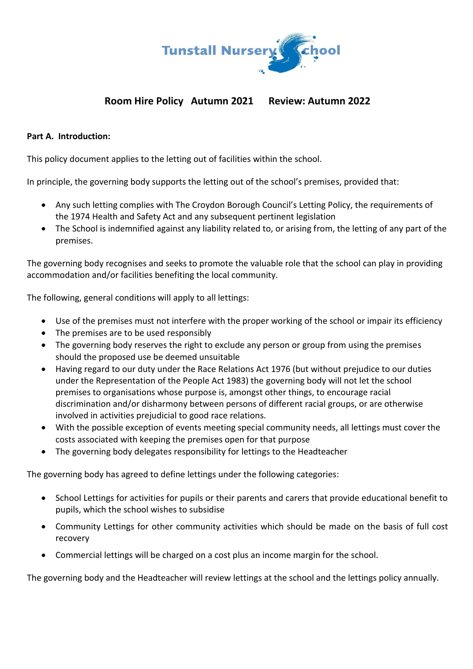

## **Room Hire Policy Autumn 2021 Review: Autumn 2022**

#### **Part A. Introduction:**

This policy document applies to the letting out of facilities within the school.

In principle, the governing body supports the letting out of the school's premises, provided that:

- Any such letting complies with The Croydon Borough Council's Letting Policy, the requirements of the 1974 Health and Safety Act and any subsequent pertinent legislation
- The School is indemnified against any liability related to, or arising from, the letting of any part of the premises.

The governing body recognises and seeks to promote the valuable role that the school can play in providing accommodation and/or facilities benefiting the local community.

The following, general conditions will apply to all lettings:

- Use of the premises must not interfere with the proper working of the school or impair its efficiency
- The premises are to be used responsibly
- The governing body reserves the right to exclude any person or group from using the premises should the proposed use be deemed unsuitable
- Having regard to our duty under the Race Relations Act 1976 (but without prejudice to our duties under the Representation of the People Act 1983) the governing body will not let the school premises to organisations whose purpose is, amongst other things, to encourage racial discrimination and/or disharmony between persons of different racial groups, or are otherwise involved in activities prejudicial to good race relations.
- With the possible exception of events meeting special community needs, all lettings must cover the costs associated with keeping the premises open for that purpose
- The governing body delegates responsibility for lettings to the Headteacher

The governing body has agreed to define lettings under the following categories:

- School Lettings for activities for pupils or their parents and carers that provide educational benefit to pupils, which the school wishes to subsidise
- Community Lettings for other community activities which should be made on the basis of full cost recovery
- Commercial lettings will be charged on a cost plus an income margin for the school.

The governing body and the Headteacher will review lettings at the school and the lettings policy annually.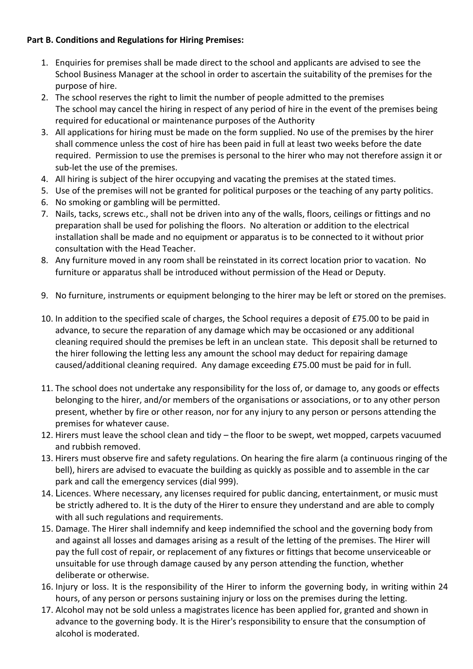#### **Part B. Conditions and Regulations for Hiring Premises:**

- 1. Enquiries for premises shall be made direct to the school and applicants are advised to see the School Business Manager at the school in order to ascertain the suitability of the premises for the purpose of hire.
- 2. The school reserves the right to limit the number of people admitted to the premises The school may cancel the hiring in respect of any period of hire in the event of the premises being required for educational or maintenance purposes of the Authority
- 3. All applications for hiring must be made on the form supplied. No use of the premises by the hirer shall commence unless the cost of hire has been paid in full at least two weeks before the date required. Permission to use the premises is personal to the hirer who may not therefore assign it or sub-let the use of the premises.
- 4. All hiring is subject of the hirer occupying and vacating the premises at the stated times.
- 5. Use of the premises will not be granted for political purposes or the teaching of any party politics.
- 6. No smoking or gambling will be permitted.
- 7. Nails, tacks, screws etc., shall not be driven into any of the walls, floors, ceilings or fittings and no preparation shall be used for polishing the floors. No alteration or addition to the electrical installation shall be made and no equipment or apparatus is to be connected to it without prior consultation with the Head Teacher.
- 8. Any furniture moved in any room shall be reinstated in its correct location prior to vacation. No furniture or apparatus shall be introduced without permission of the Head or Deputy.
- 9. No furniture, instruments or equipment belonging to the hirer may be left or stored on the premises.
- 10. In addition to the specified scale of charges, the School requires a deposit of £75.00 to be paid in advance, to secure the reparation of any damage which may be occasioned or any additional cleaning required should the premises be left in an unclean state. This deposit shall be returned to the hirer following the letting less any amount the school may deduct for repairing damage caused/additional cleaning required. Any damage exceeding £75.00 must be paid for in full.
- 11. The school does not undertake any responsibility for the loss of, or damage to, any goods or effects belonging to the hirer, and/or members of the organisations or associations, or to any other person present, whether by fire or other reason, nor for any injury to any person or persons attending the premises for whatever cause.
- 12. Hirers must leave the school clean and tidy the floor to be swept, wet mopped, carpets vacuumed and rubbish removed.
- 13. Hirers must observe fire and safety regulations. On hearing the fire alarm (a continuous ringing of the bell), hirers are advised to evacuate the building as quickly as possible and to assemble in the car park and call the emergency services (dial 999).
- 14. Licences. Where necessary, any licenses required for public dancing, entertainment, or music must be strictly adhered to. It is the duty of the Hirer to ensure they understand and are able to comply with all such regulations and requirements.
- 15. Damage. The Hirer shall indemnify and keep indemnified the school and the governing body from and against all losses and damages arising as a result of the letting of the premises. The Hirer will pay the full cost of repair, or replacement of any fixtures or fittings that become unserviceable or unsuitable for use through damage caused by any person attending the function, whether deliberate or otherwise.
- 16. Injury or loss. It is the responsibility of the Hirer to inform the governing body, in writing within 24 hours, of any person or persons sustaining injury or loss on the premises during the letting.
- 17. Alcohol may not be sold unless a magistrates licence has been applied for, granted and shown in advance to the governing body. It is the Hirer's responsibility to ensure that the consumption of alcohol is moderated.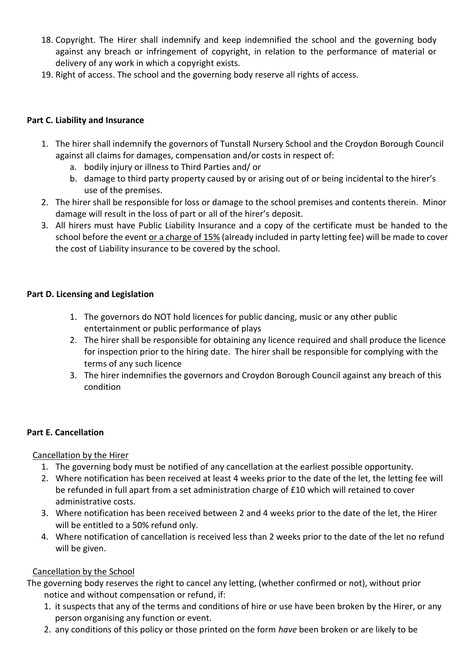- 18. Copyright. The Hirer shall indemnify and keep indemnified the school and the governing body against any breach or infringement of copyright, in relation to the performance of material or delivery of any work in which a copyright exists.
- 19. Right of access. The school and the governing body reserve all rights of access.

### **Part C. Liability and Insurance**

- 1. The hirer shall indemnify the governors of Tunstall Nursery School and the Croydon Borough Council against all claims for damages, compensation and/or costs in respect of:
	- a. bodily injury or illness to Third Parties and/ or
	- b. damage to third party property caused by or arising out of or being incidental to the hirer's use of the premises.
- 2. The hirer shall be responsible for loss or damage to the school premises and contents therein. Minor damage will result in the loss of part or all of the hirer's deposit.
- 3. All hirers must have Public Liability Insurance and a copy of the certificate must be handed to the school before the event or a charge of 15% (already included in party letting fee) will be made to cover the cost of Liability insurance to be covered by the school.

### **Part D. Licensing and Legislation**

- 1. The governors do NOT hold licences for public dancing, music or any other public entertainment or public performance of plays
- 2. The hirer shall be responsible for obtaining any licence required and shall produce the licence for inspection prior to the hiring date. The hirer shall be responsible for complying with the terms of any such licence
- 3. The hirer indemnifies the governors and Croydon Borough Council against any breach of this condition

## **Part E. Cancellation**

#### Cancellation by the Hirer

- 1. The governing body must be notified of any cancellation at the earliest possible opportunity.
- 2. Where notification has been received at least 4 weeks prior to the date of the let, the letting fee will be refunded in full apart from a set administration charge of £10 which will retained to cover administrative costs.
- 3. Where notification has been received between 2 and 4 weeks prior to the date of the let, the Hirer will be entitled to a 50% refund only.
- 4. Where notification of cancellation is received less than 2 weeks prior to the date of the let no refund will be given.

## Cancellation by the School

- The governing body reserves the right to cancel any letting, (whether confirmed or not), without prior notice and without compensation or refund, if:
	- 1. it suspects that any of the terms and conditions of hire or use have been broken by the Hirer, or any person organising any function or event.
	- 2. any conditions of this policy or those printed on the form *have* been broken or are likely to be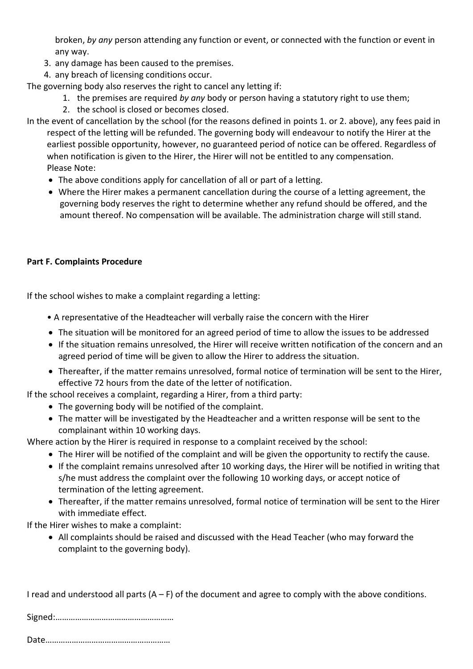broken, *by any* person attending any function or event, or connected with the function or event in any way.

- 3. any damage has been caused to the premises.
- 4. any breach of licensing conditions occur.

The governing body also reserves the right to cancel any letting if:

- 1. the premises are required *by any* body or person having a statutory right to use them;
- 2. the school is closed or becomes closed.

In the event of cancellation by the school (for the reasons defined in points 1. or 2. above), any fees paid in respect of the letting will be refunded. The governing body will endeavour to notify the Hirer at the earliest possible opportunity, however, no guaranteed period of notice can be offered. Regardless of when notification is given to the Hirer, the Hirer will not be entitled to any compensation. Please Note:

- The above conditions apply for cancellation of all or part of a letting.
- Where the Hirer makes a permanent cancellation during the course of a letting agreement, the governing body reserves the right to determine whether any refund should be offered, and the amount thereof. No compensation will be available. The administration charge will still stand.

#### **Part F. Complaints Procedure**

If the school wishes to make a complaint regarding a letting:

- A representative of the Headteacher will verbally raise the concern with the Hirer
- The situation will be monitored for an agreed period of time to allow the issues to be addressed
- If the situation remains unresolved, the Hirer will receive written notification of the concern and an agreed period of time will be given to allow the Hirer to address the situation.
- Thereafter, if the matter remains unresolved, formal notice of termination will be sent to the Hirer, effective 72 hours from the date of the letter of notification.

If the school receives a complaint, regarding a Hirer, from a third party:

- The governing body will be notified of the complaint.
- The matter will be investigated by the Headteacher and a written response will be sent to the complainant within 10 working days.

Where action by the Hirer is required in response to a complaint received by the school:

- The Hirer will be notified of the complaint and will be given the opportunity to rectify the cause.
- If the complaint remains unresolved after 10 working days, the Hirer will be notified in writing that s/he must address the complaint over the following 10 working days, or accept notice of termination of the letting agreement.
- Thereafter, if the matter remains unresolved, formal notice of termination will be sent to the Hirer with immediate effect.

If the Hirer wishes to make a complaint:

• All complaints should be raised and discussed with the Head Teacher (who may forward the complaint to the governing body).

|  |  | I read and understood all parts $(A - F)$ of the document and agree to comply with the above conditions. |
|--|--|----------------------------------------------------------------------------------------------------------|
|--|--|----------------------------------------------------------------------------------------------------------|

|--|--|

Date…………………………………………………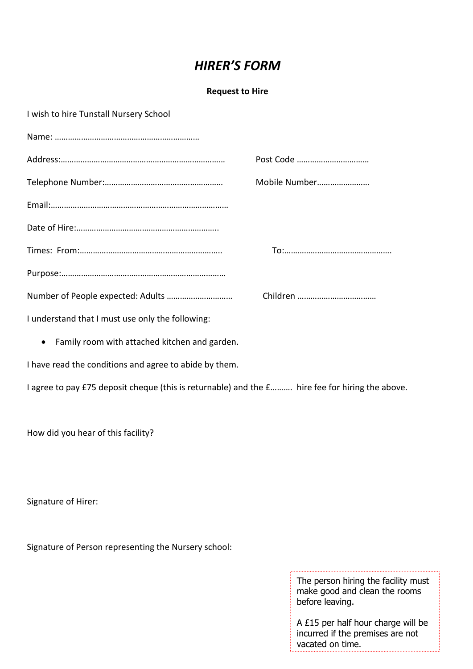# *HIRER'S FORM*

#### **Request to Hire**

| I wish to hire Tunstall Nursery School |  |
|----------------------------------------|--|
|----------------------------------------|--|

|                                                  | Post Code     |
|--------------------------------------------------|---------------|
|                                                  | Mobile Number |
|                                                  |               |
|                                                  |               |
|                                                  |               |
|                                                  |               |
|                                                  |               |
| I understand that I must use only the following: |               |

• Family room with attached kitchen and garden.

I have read the conditions and agree to abide by them.

I agree to pay £75 deposit cheque (this is returnable) and the £………. hire fee for hiring the above.

How did you hear of this facility?

Signature of Hirer:

Signature of Person representing the Nursery school:

The person hiring the facility must make good and clean the rooms before leaving.

A £15 per half hour charge will be incurred if the premises are not vacated on time.